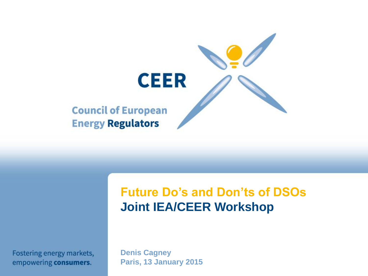

# **Future Do's and Don'ts of DSOs Joint IEA/CEER Workshop**

Fostering energy markets, empowering consumers.

**Denis Cagney Paris, 13 January 2015**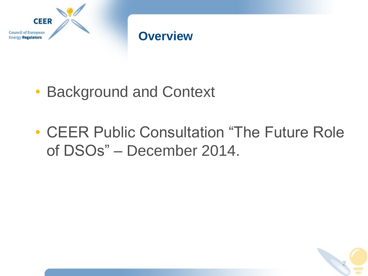

#### **Overview**

- Background and Context
- CEER Public Consultation "The Future Role of DSOs" – December 2014.

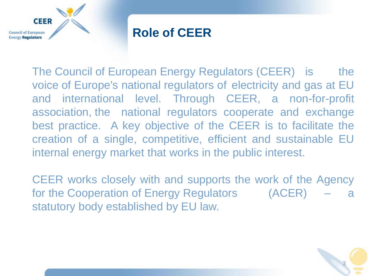

#### **Role of CEER**

The Council of European Energy Regulators (CEER) is the voice of Europe's national regulators of electricity and gas at EU and international level. Through CEER, a non-for-profit association, the national regulators cooperate and exchange best practice. A key objective of the CEER is to facilitate the creation of a single, competitive, efficient and sustainable EU internal energy market that works in the public interest.

CEER works closely with and supports the work of the Agency for the Cooperation of Energy Regulators (ACER) – a statutory body established by EU law.

3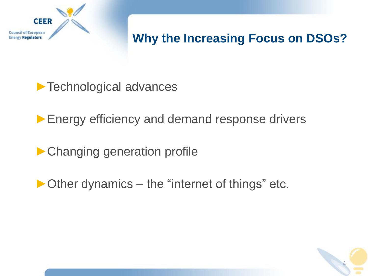

# **Why the Increasing Focus on DSOs?**

▶ Technological advances

▶ Energy efficiency and demand response drivers

▶ Changing generation profile

►Other dynamics – the "internet of things" etc.

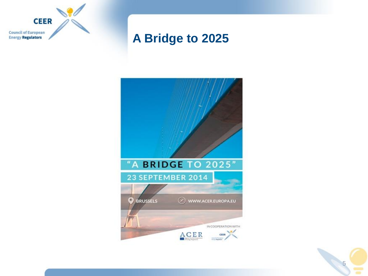

#### **A Bridge to 2025**



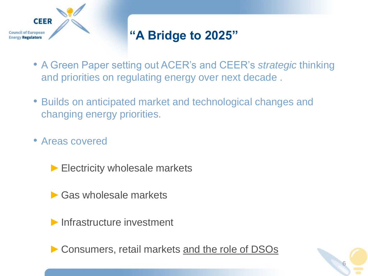

# **"A Bridge to 2025"**

- A Green Paper setting out ACER's and CEER's *strategic* thinking and priorities on regulating energy over next decade .
- Builds on anticipated market and technological changes and changing energy priorities.
- Areas covered
	- ▶ Electricity wholesale markets
	- $\blacktriangleright$  Gas wholesale markets
	- ►Infrastructure investment

► Consumers, retail markets and the role of DSOs

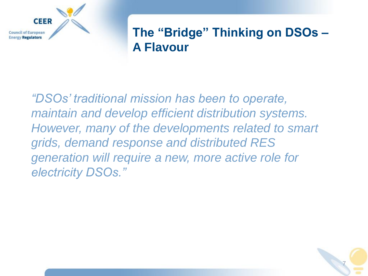

#### **The "Bridge" Thinking on DSOs – A Flavour**

*"DSOs' traditional mission has been to operate, maintain and develop efficient distribution systems. However, many of the developments related to smart grids, demand response and distributed RES generation will require a new, more active role for electricity DSOs."*

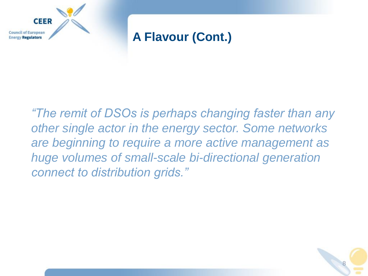

#### **A Flavour (Cont.)**

*"The remit of DSOs is perhaps changing faster than any other single actor in the energy sector. Some networks are beginning to require a more active management as huge volumes of small-scale bi-directional generation connect to distribution grids."*

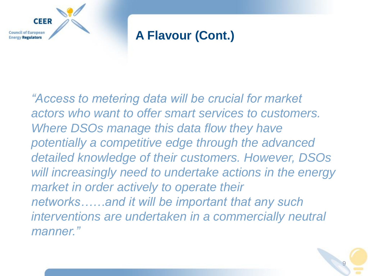

## **A Flavour (Cont.)**

*"Access to metering data will be crucial for market actors who want to offer smart services to customers. Where DSOs manage this data flow they have potentially a competitive edge through the advanced detailed knowledge of their customers. However, DSOs will increasingly need to undertake actions in the energy market in order actively to operate their networks……and it will be important that any such interventions are undertaken in a commercially neutral manner."*

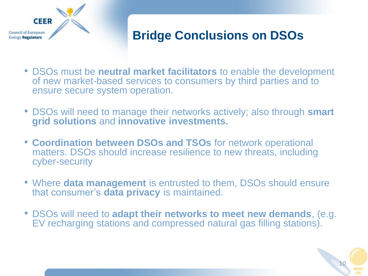

# **Bridge Conclusions on DSOs**

- DSOs must be **neutral market facilitators** to enable the development of new market-based services to consumers by third parties and to ensure secure system operation.
- DSOs will need to manage their networks actively; also through **smart grid solutions** and **innovative investments.**
- **Coordination between DSOs and TSOs** for network operational matters. DSOs should increase resilience to new threats, including cyber-security
- Where **data management** is entrusted to them, DSOs should ensure that consumer's **data privacy** is maintained.
- DSOs will need to **adapt their networks to meet new demands**, (e.g. EV recharging stations and compressed natural gas filling stations).

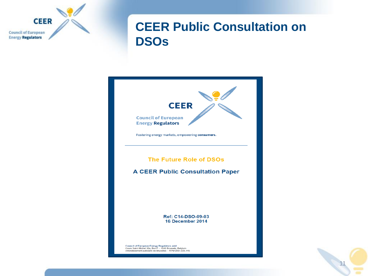

#### **CEER Public Consultation on DSOs**



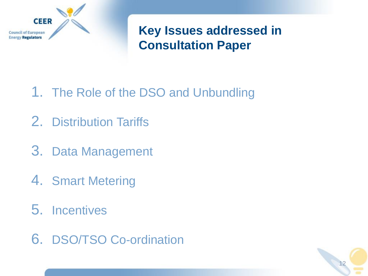

**Key Issues addressed in Consultation Paper**

- 1. The Role of the DSO and Unbundling
- 2. Distribution Tariffs
- 3. Data Management
- 4. Smart Metering
- 5. Incentives
- 6. DSO/TSO Co-ordination

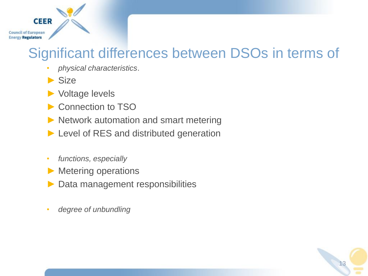#### **CEER Council of European Energy Regulators**

# Significant differences between DSOs in terms of

- *physical characteristics*.
- $\blacktriangleright$  Size
- ► Voltage levels
- ► Connection to TSO
- ► Network automation and smart metering
- ► Level of RES and distributed generation
- *functions, especially*
- ► Metering operations
- ► Data management responsibilities
- *degree of unbundling*

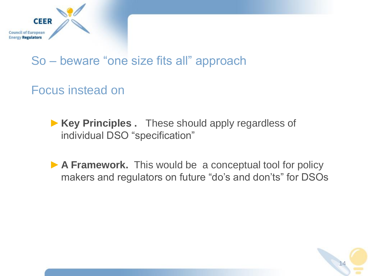

#### So – beware "one size fits all" approach

#### Focus instead on

- ►**Key Principles .** These should apply regardless of individual DSO "specification"
- ▶ **A Framework.** This would be a conceptual tool for policy makers and regulators on future "do's and don'ts" for DSOs

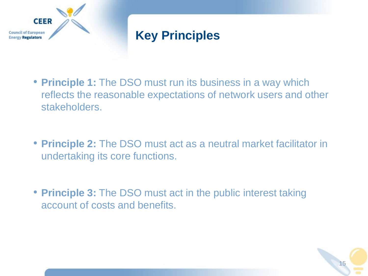

# **Key Principles**

- **Principle 1:** The DSO must run its business in a way which reflects the reasonable expectations of network users and other stakeholders.
- **Principle 2:** The DSO must act as a neutral market facilitator in undertaking its core functions.
- **Principle 3:** The DSO must act in the public interest taking account of costs and benefits.

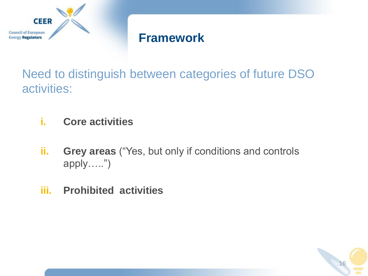

#### **Framework**

Need to distinguish between categories of future DSO activities:

- **i. Core activities**
- **ii. Grey areas** ("Yes, but only if conditions and controls apply…..")
- **iii. Prohibited activities**

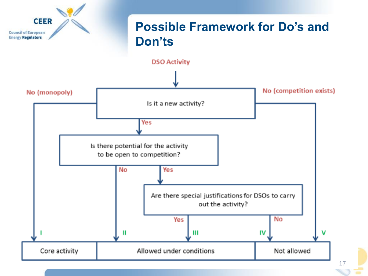

17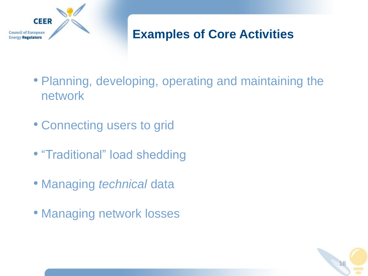

# **Examples of Core Activities**

- Planning, developing, operating and maintaining the network
- Connecting users to grid
- "Traditional" load shedding
- Managing *technical* data
- Managing network losses

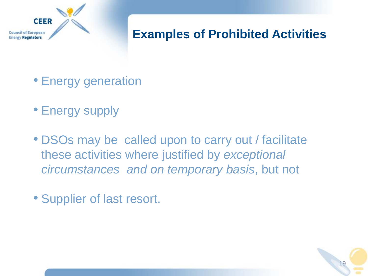

# **Examples of Prohibited Activities**

- Energy generation
- Energy supply
- DSOs may be called upon to carry out / facilitate these activities where justified by *exceptional circumstances and on temporary basis*, but not
- Supplier of last resort.

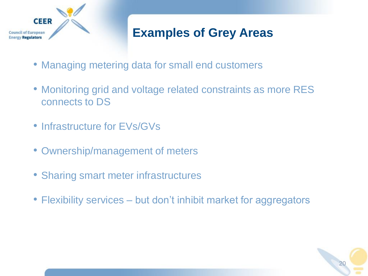

# **Examples of Grey Areas**

- Managing metering data for small end customers
- Monitoring grid and voltage related constraints as more RES connects to DS
- Infrastructure for EVs/GVs
- Ownership/management of meters
- Sharing smart meter infrastructures
- Flexibility services but don't inhibit market for aggregators

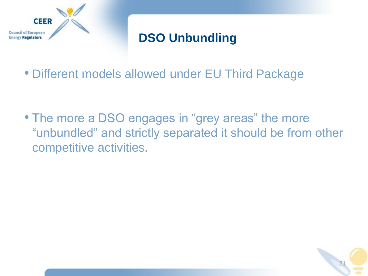

# **DSO Unbundling**

• Different models allowed under EU Third Package

• The more a DSO engages in "grey areas" the more "unbundled" and strictly separated it should be from other competitive activities.

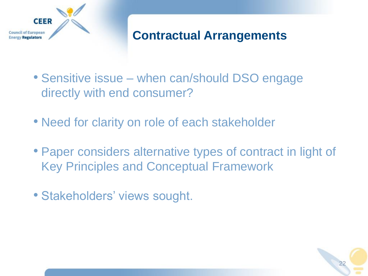

# **Contractual Arrangements**

22

- Sensitive issue when can/should DSO engage directly with end consumer?
- Need for clarity on role of each stakeholder
- Paper considers alternative types of contract in light of Key Principles and Conceptual Framework
- Stakeholders' views sought.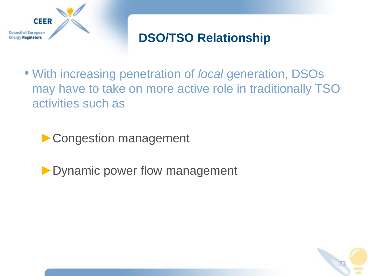

# **DSO/TSO Relationship**

• With increasing penetration of *local* generation, DSOs may have to take on more active role in traditionally TSO activities such as

▶ Congestion management

▶ Dynamic power flow management

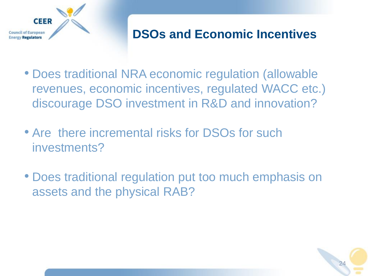

#### **DSOs and Economic Incentives**

- Does traditional NRA economic regulation (allowable revenues, economic incentives, regulated WACC etc.) discourage DSO investment in R&D and innovation?
- Are there incremental risks for DSOs for such investments?
- Does traditional regulation put too much emphasis on assets and the physical RAB?

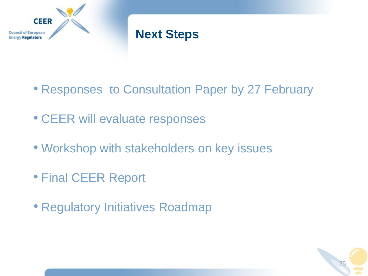

### **Next Steps**

- Responses to Consultation Paper by 27 February
- CEER will evaluate responses
- Workshop with stakeholders on key issues
- Final CEER Report
- Regulatory Initiatives Roadmap